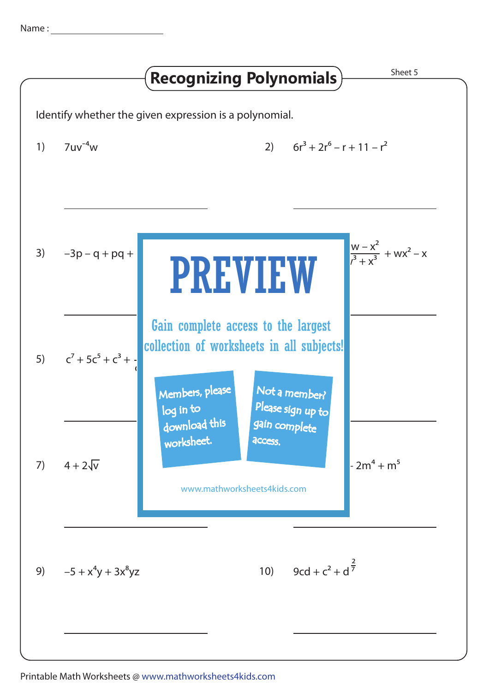